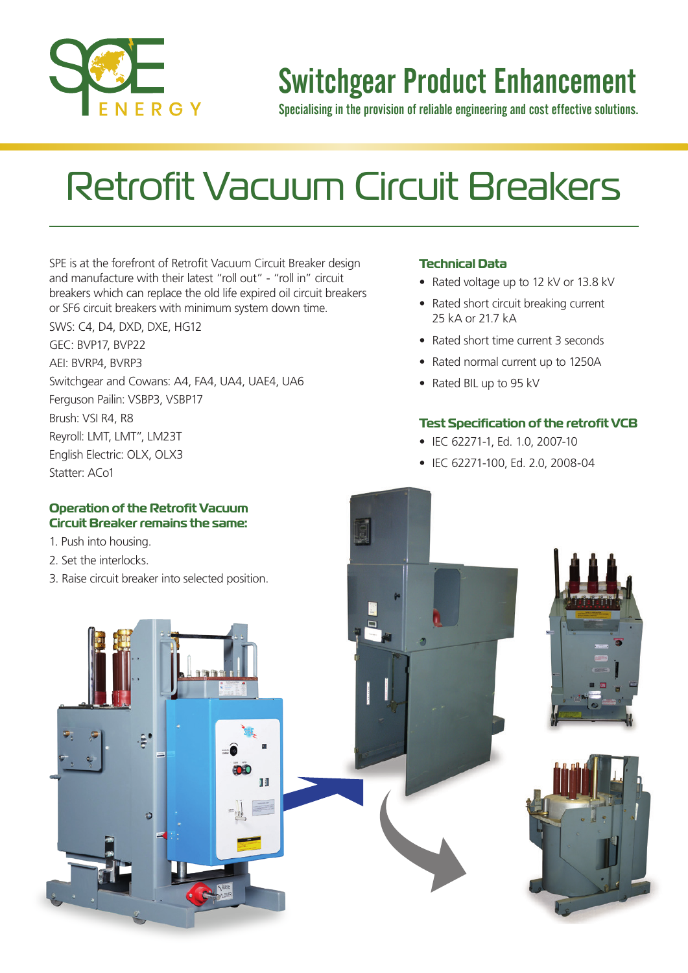

### Switchgear Product Enhancement

Specialising in the provision of reliable engineering and cost effective solutions.

# Retrofit Vacuum Circuit Breakers

SPE is at the forefront of Retrofit Vacuum Circuit Breaker design and manufacture with their latest "roll out" - "roll in" circuit breakers which can replace the old life expired oil circuit breakers or SF6 circuit breakers with minimum system down time. SWS: C4, D4, DXD, DXE, HG12 GEC: BVP17, BVP22

AEI: BVRP4, BVRP3 Switchgear and Cowans: A4, FA4, UA4, UAE4, UA6 Ferguson Pailin: VSBP3, VSBP17 Brush: VSI R4, R8 Reyroll: LMT, LMT", LM23T English Electric: OLX, OLX3

#### Statter: ACo1

#### **Operation of the Retrofit Vacuum Circuit Breaker remains the same:**

- 1. Push into housing.
- 2. Set the interlocks.
- 3. Raise circuit breaker into selected position.

#### **Technical Data**

- Rated voltage up to 12 kV or 13.8 kV
- Rated short circuit breaking current 25 kA or 21.7 kA
- Rated short time current 3 seconds
- Rated normal current up to 1250A
- Rated BIL up to 95 kV

#### **Test Specification of the retrofit VCB**

- IEC 62271-1, Ed. 1.0, 2007-10
- IEC 62271-100, Ed. 2.0, 2008-04